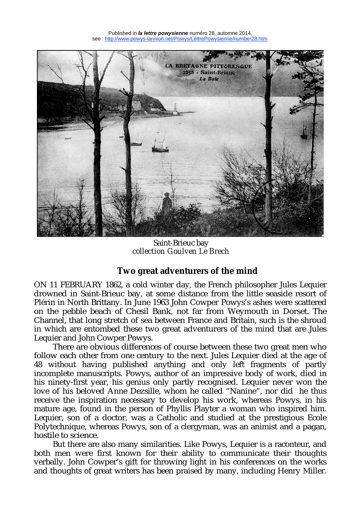

Saint-Brieuc bay *collection Goulven Le Brech*

## **Two great adventurers of the mind**

ON 11 FEBRUARY 1862, a cold winter day, the French philosopher Jules Lequier drowned in Saint-Brieuc bay, at some distance from the little seaside resort of Plérin in North Brittany. In June 1963 John Cowper Powys's ashes were scattered on the pebble beach of Chesil Bank, not far from Weymouth in Dorset. The Channel, that long stretch of sea between France and Britain, such is the shroud in which are entombed these two great adventurers of the mind that are Jules Lequier and John Cowper Powys.

There are obvious differences of course between these two great men who follow each other from one century to the next. Jules Lequier died at the age of 48 without having published anything and only left fragments of partly incomplete manuscripts. Powys, author of an impressive body of work, died in his ninety-first year, his genius only partly recognised. Lequier never won the love of his beloved Anne Dezsille, whom he called "Nanine", nor did he thus receive the inspiration necessary to develop his work, whereas Powys, in his mature age, found in the person of Phyllis Playter a woman who inspired him. Lequier, son of a doctor, was a Catholic and studied at the prestigious Ecole Polytechnique, whereas Powys, son of a clergyman, was an animist and a pagan, hostile to science.

But there are also many similarities. Like Powys, Lequier is a raconteur, and both men were first known for their ability to communicate their thoughts verbally. John Cowper's gift for throwing light in his conferences on the works and thoughts of great writers has been praised by many, including Henry Miller.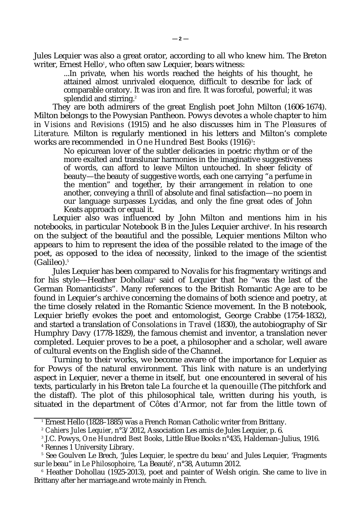Jules Lequier was also a great orator, according to all who knew him. The Breton writer, Ernest Hello<sup>1</sup>, who often saw Lequier, bears witness:

...In private, when his words reached the heights of his thought, he attained almost unrivaled eloquence, difficult to describe for lack of comparable oratory. It was iron and fire. It was forceful, powerful; it was splendid and stirring.<sup>2</sup>

They are both admirers of the great English poet John Milton (1606-1674). Milton belongs to the Powysian Pantheon. Powys devotes a whole chapter to him in *Visions and Revisions* (1915) and he also discusses him in *The Pleasures of Literature.* Milton is regularly mentioned in his letters and Milton's complete works are recommended in *One Hundred Best Books* (1916)<sup>3</sup>:

No epicurean lover of the subtler delicacies in poetric rhythm or of the more exalted and translunar harmonies in the imaginative suggestiveness of words, can afford to leave Milton untouched. In sheer felicity of beauty—the beauty of suggestive words, each one carrying "a perfume in the mention" and together, by their arrangement in relation to one another, conveying a thrill of absolute and final satisfaction—no poem in our language surpasses Lycidas, and only the fine great odes of John Keats approach or equal it.

Lequier also was influenced by John Milton and mentions him in his notebooks, in particular Notebook B in the Jules Lequier archive<sup>4</sup>. In his research on the subject of the beautiful and the possible, Lequier mentions Milton who appears to him to represent the idea of the possible related to the image of the poet, as opposed to the idea of necessity, linked to the image of the scientist  $(Galileo).<sup>5</sup>$ 

Jules Lequier has been compared to Novalis for his fragmentary writings and for his style—Heather Dohollau® said of Lequier that he "was the last of the German Romanticists". Many references to the British Romantic Age are to be found in Lequier's archive concerning the domains of both science and poetry, at the time closely related in the Romantic Science movement. In the B notebook, Lequier briefly evokes the poet and entomologist, George Crabbe (1754-1832), and started a translation of *Consolations in Travel* (1830), the autobiography of Sir Humphry Davy (1778-1829), the famous chemist and inventor, a translation never completed. Lequier proves to be a poet, a philosopher and a scholar, well aware of cultural events on the English side of the Channel.

Turning to their works, we become aware of the importance for Lequier as for Powys of the natural environment. This link with nature is an underlying aspect in Lequier, never a theme in itself, but one encountered in several of his texts, particularly in his Breton tale *La fourche et la quenouille* (The pitchfork and the distaff). The plot of this philosophical tale, written during his youth, is situated in the department of Côtes d'Armor, not far from the little town of

<sup>1</sup> Ernest Hello (1828–1885) was a French Roman Catholic writer from Brittany.

<sup>2</sup> *Cahiers Jules Lequier*, n°3/2012, Association Les amis de Jules Lequier, p. 6.

<sup>3</sup> J.C. Powys, *One Hundred Best Books*, Little Blue Books n°435, Haldeman–Julius, 1916.

<sup>4</sup> Rennes 1 University Library.

<sup>5</sup> See Goulven Le Brech, 'Jules Lequier, le spectre du beau' and Jules Lequier, 'Fragments sur le beau" in *Le Philosophoire*, 'La Beauté', n°38, Autumn 2012.

 $^{\circ}$  Heather Dohollau (1925-2013), poet and painter of Welsh origin. She came to live in Brittany after her marriage.and wrote mainly in French.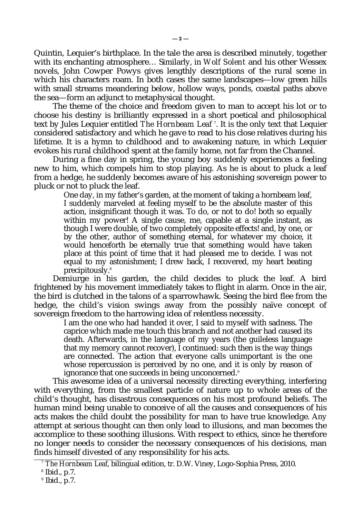Quintin, Lequier's birthplace. In the tale the area is described minutely, together with its enchanting atmosphere… Similarly, in *Wolf Solent* and his other Wessex novels, John Cowper Powys gives lengthly descriptions of the rural scene in which his characters roam. In both cases the same landscapes—low green hills with small streams meandering below, hollow ways, ponds, coastal paths above the sea—form an adjunct to metaphysical thought.

The theme of the choice and freedom given to man to accept his lot or to choose his destiny is brilliantly expressed in a short poetical and philosophical text by Jules Lequier entitled *The Hornbeam Leaf* <sup>7</sup> . It is the only text that Lequier considered satisfactory and which he gave to read to his close relatives during his lifetime. It is a hymn to childhood and to awakening nature, in which Lequier evokes his rural childhood spent at the family home, not far from the Channel.

During a fine day in spring, the young boy suddenly experiences a feeling new to him, which compels him to stop playing. As he is about to pluck a leaf from a hedge, he suddenly becomes aware of his astonishing sovereign power to pluck or not to pluck the leaf.

One day, in my father's garden, at the moment of taking a hornbeam leaf, I suddenly marveled at feeling myself to be the absolute master of this action, insignificant though it was. To do, or not to do! both so equally within my power! A single cause, me, capable at a single instant, as though I were double, of two completely opposite effects! and, by one, or by the other, author of something eternal, for whatever my choice, it would henceforth be eternally true that something would have taken place at this point of time that it had pleased me to decide. I was not equal to my astonishment; I drew back, I recovered, my heart beating precipitously.<sup>8</sup>

Demiurge in his garden, the child decides to pluck the leaf. A bird frightened by his movement immediately takes to flight in alarm. Once in the air, the bird is clutched in the talons of a sparrowhawk. Seeing the bird flee from the hedge, the child's vision swings away from the possibly naïve concept of sovereign freedom to the harrowing idea of relentless necessity.

I am the one who had handed it over, I said to myself with sadness. The caprice which made me touch this branch and not another had caused its death. Afterwards, in the language of my years (the guileless language that my memory cannot recover), I continued: such then is the way things are connected. The action that everyone calls unimportant is the one whose repercussion is perceived by no one, and it is only by reason of ignorance that one succeeds in being unconcerned.<sup>9</sup>

This awesome idea of a universal necessity directing everything, interfering with everything, from the smallest particle of nature up to whole areas of the child's thought, has disastrous consequences on his most profound beliefs. The human mind being unable to conceive of all the causes and consequences of his acts makes the child doubt the possibility for man to have true knowledge. Any attempt at serious thought can then only lead to illusions, and man becomes the accomplice to these soothing illusions. With respect to ethics, since he therefore no longer needs to consider the necessary consequences of his decisions, man finds himself divested of any responsibility for his acts.

<sup>7</sup> *The Hornbeam Leaf*, bilingual edition, tr. D.W. Viney, Logo-Sophia Press, 2010.

<sup>8</sup> Ibid., p.7.

<sup>9</sup> Ibid., p.7.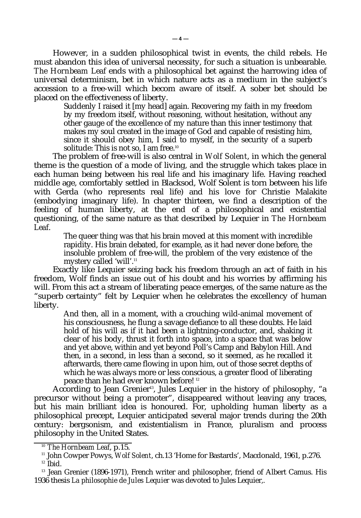However, in a sudden philosophical twist in events, the child rebels. He must abandon this idea of universal necessity, for such a situation is unbearable. *The Hornbeam Leaf* ends with a philosophical bet against the harrowing idea of universal determinism, bet in which nature acts as a medium in the subject's accession to a free-will which becom aware of itself. A sober bet should be placed on the effectiveness of liberty.

Suddenly I raised it [my head] again. Recovering my faith in my freedom by my freedom itself, without reasoning, without hesitation, without any other gauge of the excellence of my nature than this inner testimony that makes my soul created in the image of God and capable of resisting him, since it should obey him, I said to myself, in the security of a superb solitude: This is not so, I am free.<sup>10</sup>

The problem of free-will is also central in *Wolf Solent*, in which the general theme is the question of a mode of living, and the struggle which takes place in each human being between his real life and his imaginary life. Having reached middle age, comfortably settled in Blacksod, Wolf Solent is torn between his life with Gerda (who represents real life) and his love for Christie Malakite (embodying imaginary life). In chapter thirteen, we find a description of the feeling of human liberty, at the end of a philosophical and existential questioning, of the same nature as that described by Lequier in *The Hornbeam Leaf*.

The queer thing was that his brain moved at this moment with incredible rapidity. His brain debated, for example, as it had never done before, the insoluble problem of free-will, the problem of the very existence of the mystery called 'will'.<sup>11</sup>

Exactly like Lequier seizing back his freedom through an act of faith in his freedom, Wolf finds an issue out of his doubt and his worries by affirming his will. From this act a stream of liberating peace emerges, of the same nature as the "superb certainty" felt by Lequier when he celebrates the excellency of human liberty.

And then, all in a moment, with a crouching wild-animal movement of his consciousness, he flung a savage defiance to all these doubts. He laid hold of his will as if it had been a lightning-conductor, and, shaking it clear of his body, thrust it forth into space, into a space that was below and yet above, within and yet beyond Poll's Camp and Babylon Hill. And then, in a second, in less than a second, so it seemed, as he recalled it afterwards, there came flowing in upon him, out of those secret depths of which he was always more or less conscious, a greater flood of liberating peace than he had ever known before! <sup>12</sup>

According to Jean Grenier<sup>13</sup>, Jules Lequier in the history of philosophy, "a precursor without being a promoter", disappeared without leaving any traces, but his main brilliant idea is honoured. For, upholding human liberty as a philosophical precept, Lequier anticipated several major trends during the 20th century: bergsonism, and existentialism in France, pluralism and process philosophy in the United States.

<sup>10</sup> *The Hornbeam Leaf*, p.15.

<sup>11</sup> John Cowper Powys, *Wolf Solent*, ch.13 'Home for Bastards', Macdonald, 1961, p.276.  $12$  Ibid.

<sup>&</sup>lt;sup>13</sup> Jean Grenier (1896-1971), French writer and philosopher, friend of Albert Camus. His 1936 thesis *La philosophie de Jules Lequier* was devoted to Jules Lequier,.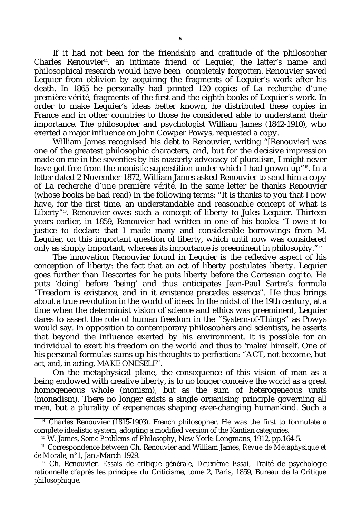If it had not been for the friendship and gratitude of the philosopher Charles Renouvier<sup>14</sup>, an intimate friend of Lequier, the latter's name and philosophical research would have been completely forgotten. Renouvier saved Lequier from oblivion by acquiring the fragments of Lequier's work after his death. In 1865 he personally had printed 120 copies of *La recherche d'une première vérité*, fragments of the first and the eighth books of Lequier's work. In order to make Lequier's ideas better known, he distributed these copies in France and in other countries to those he considered able to understand their importance. The philosopher and psychologist William James (1842-1910), who exerted a major influence on John Cowper Powys, requested a copy.

William James recognised his debt to Renouvier, writing "[Renouvier] was one of the greatest philosophic characters, and, but for the decisive impression made on me in the seventies by his masterly advocacy of pluralism, I might never have got free from the monistic superstition under which I had grown up"<sup>15</sup> . In a letter dated 2 November 1872, William James asked Renouvier to send him a copy of *La recherche d'une première vérité*. In the same letter he thanks Renouvier (whose books he had read) in the following terms: "It is thanks to you that I now have, for the first time, an understandable and reasonable concept of what is Liberty"16. Renouvier owes such a concept of liberty to Jules Lequier. Thirteen years earlier, in 1859, Renouvier had written in one of his books: "I owe it to justice to declare that I made many and considerable borrowings from M. Lequier, on this important question of liberty, which until now was considered only as simply important, whereas its importance is preeminent in philosophy."<sup>17</sup>

The innovation Renouvier found in Lequier is the reflexive aspect of his conception of liberty: the fact that an act of liberty postulates liberty. Lequier goes further than Descartes for he puts liberty before the Cartesian *cogito.* He puts 'doing' before 'being' and thus anticipates Jean-Paul Sartre's formula "Freedom is existence, and in it existence precedes essence". He thus brings about a true revolution in the world of ideas. In the midst of the 19th century, at a time when the determinist vision of science and ethics was preeminent, Lequier dares to assert the role of human freedom in the "System-of-Things" as Powys would say. In opposition to contemporary philosophers and scientists, he asserts that beyond the influence exerted by his environment, it is possible for an individual to exert his freedom on the world and thus to 'make' himself. One of his personal formulas sums up his thoughts to perfection: "ACT, not *become*, but act, and, in acting, MAKE ONESELF".

On the metaphysical plane, the consequence of this vision of man as a being endowed with creative liberty, is to no longer conceive the world as a great homogeneous whole (monism), but as the sum of heterogeneous units (monadism). There no longer exists a single organising principle governing all men, but a plurality of experiences shaping ever-changing humankind. Such a

 $14$  Charles Renouvier (1815-1903), French philosopher. He was the first to formulate a complete idealistic system, adopting a modified version of the Kantian categories.

<sup>15</sup> W. James, *Some Problems of Philosophy*, New York: Longmans, 1912, pp.164-5.

<sup>16</sup> Correspondence between Ch. Renouvier and William James, *Revue de Métaphysique et de Morale*, n°1, Jan.-March 1929.

<sup>17</sup> Ch. Renouvier, *Essais de critique générale*, *Deuxième Essai*, Traité de psychologie rationnelle d'après les principes du Criticisme, tome 2, Paris, 1859, Bureau de la *Critique philosophique.*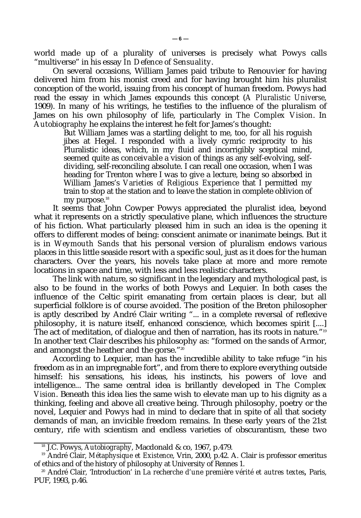world made up of a plurality of universes is precisely what Powys calls "multiverse" in his essay *In Defence of Sensuality*.

On several occasions, William James paid tribute to Renouvier for having delivered him from his monist creed and for having brought him his pluralist conception of the world, issuing from his concept of human freedom. Powys had read the essay in which James expounds this concept (*A Pluralistic Universe*, 1909). In many of his writings, he testifies to the influence of the pluralism of James on his own philosophy of life, particularly in *The Complex Vision*. In *Autobiography* he explains the interest he felt for James's thought:

But William James was a startling delight to me, too, for all his roguish jibes at Hegel. I responded with a lively cymric reciprocity to his Pluralistic ideas, which, in my fluid and incorrigibly sceptical mind, seemed quite as *conceivable* a vision of things as any self-evolving, selfdividing, self-reconciling absolute. I can recall one occasion, when I was heading for Trenton where I was to give a lecture, being so absorbed in William James's *Varieties of Religious Experience* that I permitted my train to stop at the station and to leave the station in complete oblivion of my purpose.<sup>18</sup>

It seems that John Cowper Powys appreciated the pluralist idea, beyond what it represents on a strictly speculative plane, which influences the structure of his fiction. What particularly pleased him in such an idea is the opening it offers to different modes of being: conscient animate or inanimate beings. But it is in *Weymouth Sands* that his personal version of pluralism endows various places in this little seaside resort with a specific soul, just as it does for the human characters. Over the years, his novels take place at more and more remote locations in space and time, with less and less realistic characters.

The link with nature, so significant in the legendary and mythological past, is also to be found in the works of both Powys and Lequier. In both cases the influence of the Celtic spirit emanating from certain places is clear, but all superficial folklore is of course avoided. The position of the Breton philosopher is aptly described by André Clair writing "... in a complete reversal of reflexive philosophy, it is nature itself, enhanced conscience, which becomes spirit [....] The act of meditation, of dialogue and then of narration, has its roots in nature."<sup>19</sup> In another text Clair describes his philosophy as: "formed on the sands of Armor, and amongst the heather and the gorse."<sup>20</sup>

According to Lequier, man has the incredible ability to take refuge "in his freedom as in an impregnable fort", and from there to explore everything outside himself: his sensations, his ideas, his instincts, his powers of love and intelligence... The same central idea is brillantly developed in *The Complex Vision*. Beneath this idea lies the same wish to elevate man up to his dignity as a thinking, feeling and above all creative being. Through philosophy, poetry or the novel, Lequier and Powys had in mind to declare that in spite of all that society demands of man, an invicible freedom remains. In these early years of the 21st century, rife with scientism and endless varieties of obscurantism, these two

<sup>18</sup> J.C. Powys, *Autobiography*, Macdonald & co, 1967, p.479.

<sup>19</sup> André Clair, *Métaphysique et Existence*, Vrin, 2000, p.42. A. Clair is professor emeritus of ethics and of the history of philosophy at University of Rennes 1.

<sup>20</sup> André Clair, 'Introduction' in *La recherche d'une première vérité et autres textes,* Paris, PUF, 1993, p.46.